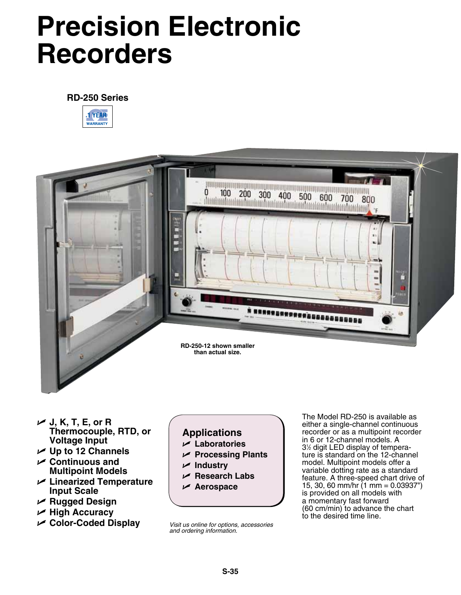# **Precision Electronic Recorders**

# **RD-250 Series**





- U **J, K, T, E, or R Thermocouple, RTD, or Voltage Input**
- U **Up to 12 Channels**
- U **Continuous and Multipoint Models**
- U **Linearized Temperature Input Scale**
- U **Rugged Design**
- U **High Accuracy**
- U **Color-Coded Display**

**Applications** U **Laboratories**

- U **Processing Plants**
- U **Industry**
- U **Research Labs**
- U **Aerospace**

*Visit us online for options, accessories and ordering information.*

The Model RD-250 is available as either a single-channel continuous recorder or as a multipoint recorder in 6 or 12-channel models. A 31 ⁄2 digit LED display of temperature is standard on the 12-channel model. Multipoint models offer a variable dotting rate as a standard feature. A three-speed chart drive of 15, 30, 60 mm/hr (1 mm = 0.03937") is provided on all models with a momentary fast forward (60 cm/min) to advance the chart to the desired time line.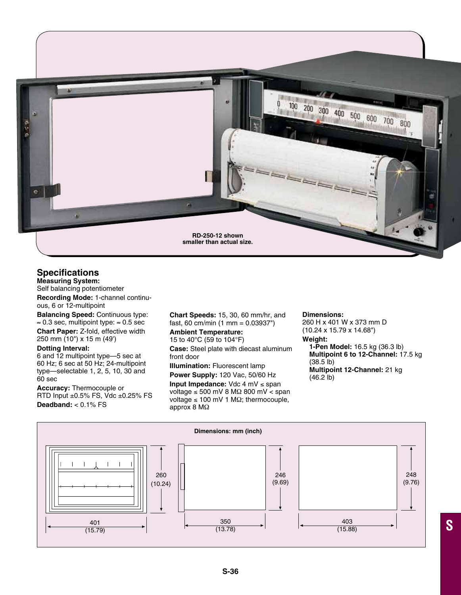

## **Specifications**

**Measuring System:** Self balancing potentiometer

**Recording Mode:** 1-channel continuous, 6 or 12-multipoint

**Balancing Speed:** Continuous type: ≈ 0.3 sec, multipoint type: ≈ 0.5 sec

**Chart Paper:** Z-fold, effective width 250 mm (10") x 15 m (49')

#### **Dotting Interval:**

6 and 12 multipoint type—5 sec at 60 Hz; 6 sec at 50 Hz; 24-multipoint type—selectable 1, 2, 5, 10, 30 and 60 sec

**Accuracy:** Thermocouple or RTD Input ±0.5% FS, Vdc ±0.25% FS **Deadband:** < 0.1% FS

**Chart Speeds:** 15, 30, 60 mm/hr, and fast, 60 cm/min (1 mm = 0.03937")

## **Ambient Temperature:**

15 to 40°C (59 to 104°F) **Case:** Steel plate with diecast aluminum front door

**Illumination:** Fluorescent lamp

**Power Supply:** 120 Vac, 50/60 Hz

**Input Impedance:** Vdc 4 mV ≤ span voltage ≤ 500 mV 8 MΩ 800 mV < span voltage  $\leq 100$  mV 1 MΩ; thermocouple, approx 8 MΩ

#### **Dimensions:**

260 H x 401 W x 373 mm D (10.24 x 15.79 x 14.68") **Weight: 1-Pen Model:** 16.5 kg (36.3 lb) **Multipoint 6 to 12-Channel:** 17.5 kg (38.5 lb) **Multipoint 12-Channel:** 21 kg (46.2 lb)

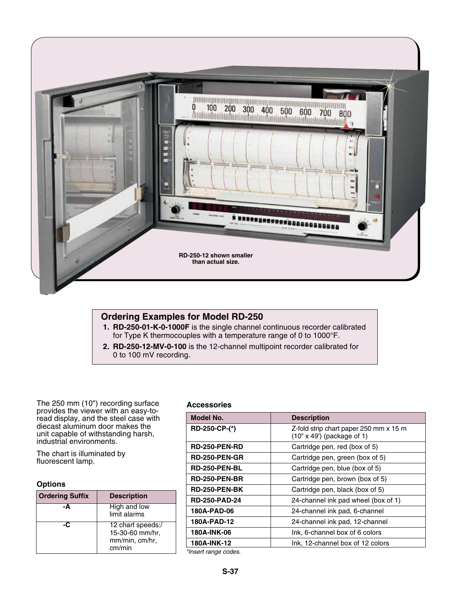

## **Ordering Examples for Model RD-250**

- **1. RD-250-01-K-0-1000F** is the single channel continuous recorder calibrated for Type K thermocouples with a temperature range of 0 to 1000°F.
- **2. RD-250-12-MV-0-100** is the 12-channel multipoint recorder calibrated for 0 to 100 mV recording.

The 250 mm (10") recording surface provides the viewer with an easy-toread display, and the steel case with diecast aluminum door makes the unit capable of withstanding harsh, industrial environments.

The chart is illuminated by fluorescent lamp.

#### **Options**

| <b>Ordering Suffix</b> | <b>Description</b>                                               |
|------------------------|------------------------------------------------------------------|
| -Δ                     | High and low<br>limit alarms                                     |
|                        | 12 chart speeds:/<br>15-30-60 mm/hr,<br>mm/min, cm/hr,<br>cm/min |

### **Accessories**

| Model No.            | <b>Description</b>                                                          |
|----------------------|-----------------------------------------------------------------------------|
| RD-250-CP-(*)        | Z-fold strip chart paper 250 mm x 15 m<br>$(10" \times 49')$ (package of 1) |
| <b>RD-250-PEN-RD</b> | Cartridge pen, red (box of 5)                                               |
| <b>RD-250-PEN-GR</b> | Cartridge pen, green (box of 5)                                             |
| <b>RD-250-PEN-BL</b> | Cartridge pen, blue (box of 5)                                              |
| <b>RD-250-PEN-BR</b> | Cartridge pen, brown (box of 5)                                             |
| RD-250-PEN-BK        | Cartridge pen, black (box of 5)                                             |
| <b>RD-250-PAD-24</b> | 24-channel ink pad wheel (box of 1)                                         |
| 180A-PAD-06          | 24-channel ink pad, 6-channel                                               |
| 180A-PAD-12          | 24-channel ink pad, 12-channel                                              |
| 180A-INK-06          | Ink, 6-channel box of 6 colors                                              |
| 180A-INK-12          | Ink, 12-channel box of 12 colors                                            |
| $*i$                 |                                                                             |

*\*Insert range codes.*